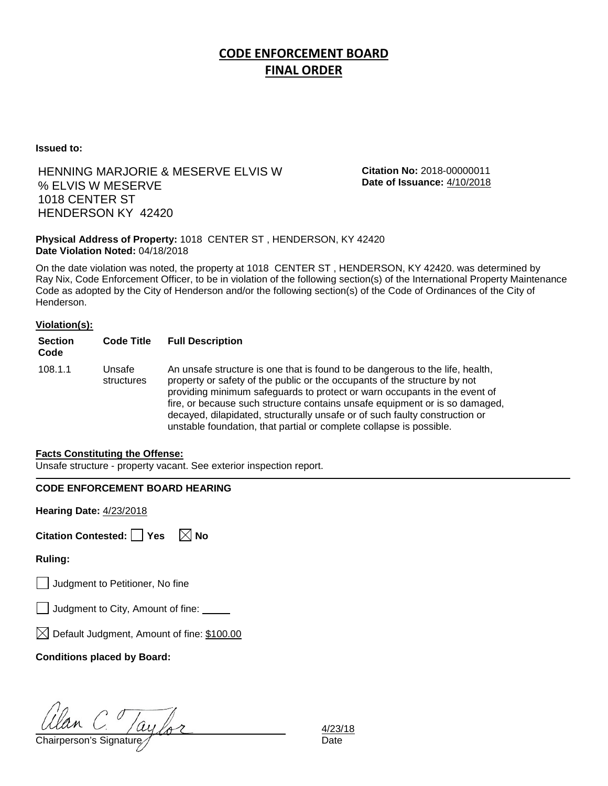# **CODE ENFORCEMENT BOARD FINAL ORDER**

**Issued to:**

### HENNING MARJORIE & MESERVE ELVIS W % ELVIS W MESERVE 1018 CENTER ST HENDERSON KY 42420

**Citation No:** 2018-00000011 **Date of Issuance:** 4/10/2018

#### **Physical Address of Property:** 1018 CENTER ST , HENDERSON, KY 42420 **Date Violation Noted:** 04/18/2018

On the date violation was noted, the property at 1018 CENTER ST , HENDERSON, KY 42420. was determined by Ray Nix, Code Enforcement Officer, to be in violation of the following section(s) of the International Property Maintenance Code as adopted by the City of Henderson and/or the following section(s) of the Code of Ordinances of the City of Henderson.

#### **Violation(s):**

| <b>Section</b><br>Code | <b>Code Title</b>    | <b>Full Description</b>                                                                                                                                                                                                                                                                                                                                                                                                                                                      |
|------------------------|----------------------|------------------------------------------------------------------------------------------------------------------------------------------------------------------------------------------------------------------------------------------------------------------------------------------------------------------------------------------------------------------------------------------------------------------------------------------------------------------------------|
| 108.1.1                | Unsafe<br>structures | An unsafe structure is one that is found to be dangerous to the life, health,<br>property or safety of the public or the occupants of the structure by not<br>providing minimum safeguards to protect or warn occupants in the event of<br>fire, or because such structure contains unsafe equipment or is so damaged,<br>decayed, dilapidated, structurally unsafe or of such faulty construction or<br>unstable foundation, that partial or complete collapse is possible. |

#### **Facts Constituting the Offense:**

Unsafe structure - property vacant. See exterior inspection report.

#### **CODE ENFORCEMENT BOARD HEARING**

**Hearing Date:** 4/23/2018

| Citation Contested: □ Yes |  | $\boxtimes$ No |
|---------------------------|--|----------------|
|---------------------------|--|----------------|

**Ruling:**

Judgment to Petitioner, No fine

| J Judgment to City, Amount of fine: |  |  |
|-------------------------------------|--|--|
|                                     |  |  |

 $\boxtimes$  Default Judgment, Amount of fine: \$100.00

**Conditions placed by Board:**

 $\frac{d}{d}$  C.  $\frac{1}{d}$   $\frac{1}{2}$   $\frac{1}{2}$   $\frac{1}{2}$   $\frac{1}{2}$   $\frac{1}{2}$   $\frac{1}{2}$   $\frac{1}{2}$   $\frac{1}{2}$   $\frac{1}{2}$   $\frac{1}{2}$   $\frac{1}{2}$   $\frac{1}{2}$   $\frac{1}{2}$   $\frac{1}{2}$   $\frac{1}{2}$   $\frac{1}{2}$   $\frac{1}{2}$   $\frac{1}{2}$   $\frac{1}{2}$   $\frac{1}{2}$ 

4/23/18